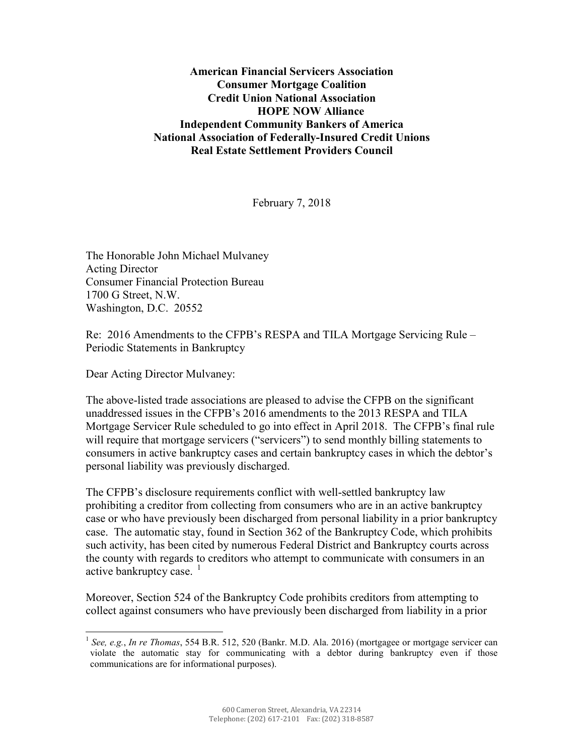**American Financial Servicers Association Consumer Mortgage Coalition Credit Union National Association HOPE NOW Alliance Independent Community Bankers of America National Association of Federally-Insured Credit Unions Real Estate Settlement Providers Council**

February 7, 2018

The Honorable John Michael Mulvaney Acting Director Consumer Financial Protection Bureau 1700 G Street, N.W. Washington, D.C. 20552

Re: 2016 Amendments to the CFPB's RESPA and TILA Mortgage Servicing Rule – Periodic Statements in Bankruptcy

Dear Acting Director Mulvaney:

The above-listed trade associations are pleased to advise the CFPB on the significant unaddressed issues in the CFPB's 2016 amendments to the 2013 RESPA and TILA Mortgage Servicer Rule scheduled to go into effect in April 2018. The CFPB's final rule will require that mortgage servicers ("servicers") to send monthly billing statements to consumers in active bankruptcy cases and certain bankruptcy cases in which the debtor's personal liability was previously discharged.

The CFPB's disclosure requirements conflict with well-settled bankruptcy law prohibiting a creditor from collecting from consumers who are in an active bankruptcy case or who have previously been discharged from personal liability in a prior bankruptcy case. The automatic stay, found in Section 362 of the Bankruptcy Code, which prohibits such activity, has been cited by numerous Federal District and Bankruptcy courts across the county with regards to creditors who attempt to communicate with consumers in an active bankruptcy case.  $\frac{1}{1}$  $\frac{1}{1}$  $\frac{1}{1}$ 

Moreover, Section 524 of the Bankruptcy Code prohibits creditors from attempting to collect against consumers who have previously been discharged from liability in a prior

<span id="page-0-0"></span> <sup>1</sup> *See, e.g.*, *In re Thomas*, 554 B.R. 512, 520 (Bankr. M.D. Ala. 2016) (mortgagee or mortgage servicer can violate the automatic stay for communicating with a debtor during bankruptcy even if those communications are for informational purposes).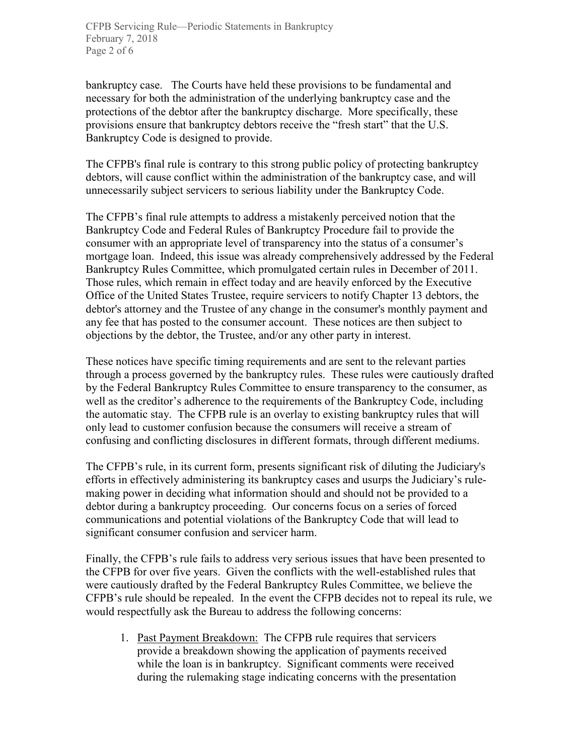bankruptcy case. The Courts have held these provisions to be fundamental and necessary for both the administration of the underlying bankruptcy case and the protections of the debtor after the bankruptcy discharge. More specifically, these provisions ensure that bankruptcy debtors receive the "fresh start" that the U.S. Bankruptcy Code is designed to provide.

The CFPB's final rule is contrary to this strong public policy of protecting bankruptcy debtors, will cause conflict within the administration of the bankruptcy case, and will unnecessarily subject servicers to serious liability under the Bankruptcy Code.

The CFPB's final rule attempts to address a mistakenly perceived notion that the Bankruptcy Code and Federal Rules of Bankruptcy Procedure fail to provide the consumer with an appropriate level of transparency into the status of a consumer's mortgage loan. Indeed, this issue was already comprehensively addressed by the Federal Bankruptcy Rules Committee, which promulgated certain rules in December of 2011. Those rules, which remain in effect today and are heavily enforced by the Executive Office of the United States Trustee, require servicers to notify Chapter 13 debtors, the debtor's attorney and the Trustee of any change in the consumer's monthly payment and any fee that has posted to the consumer account. These notices are then subject to objections by the debtor, the Trustee, and/or any other party in interest.

These notices have specific timing requirements and are sent to the relevant parties through a process governed by the bankruptcy rules. These rules were cautiously drafted by the Federal Bankruptcy Rules Committee to ensure transparency to the consumer, as well as the creditor's adherence to the requirements of the Bankruptcy Code, including the automatic stay. The CFPB rule is an overlay to existing bankruptcy rules that will only lead to customer confusion because the consumers will receive a stream of confusing and conflicting disclosures in different formats, through different mediums.

The CFPB's rule, in its current form, presents significant risk of diluting the Judiciary's efforts in effectively administering its bankruptcy cases and usurps the Judiciary's rulemaking power in deciding what information should and should not be provided to a debtor during a bankruptcy proceeding. Our concerns focus on a series of forced communications and potential violations of the Bankruptcy Code that will lead to significant consumer confusion and servicer harm.

Finally, the CFPB's rule fails to address very serious issues that have been presented to the CFPB for over five years. Given the conflicts with the well-established rules that were cautiously drafted by the Federal Bankruptcy Rules Committee, we believe the CFPB's rule should be repealed. In the event the CFPB decides not to repeal its rule, we would respectfully ask the Bureau to address the following concerns:

1. Past Payment Breakdown: The CFPB rule requires that servicers provide a breakdown showing the application of payments received while the loan is in bankruptcy. Significant comments were received during the rulemaking stage indicating concerns with the presentation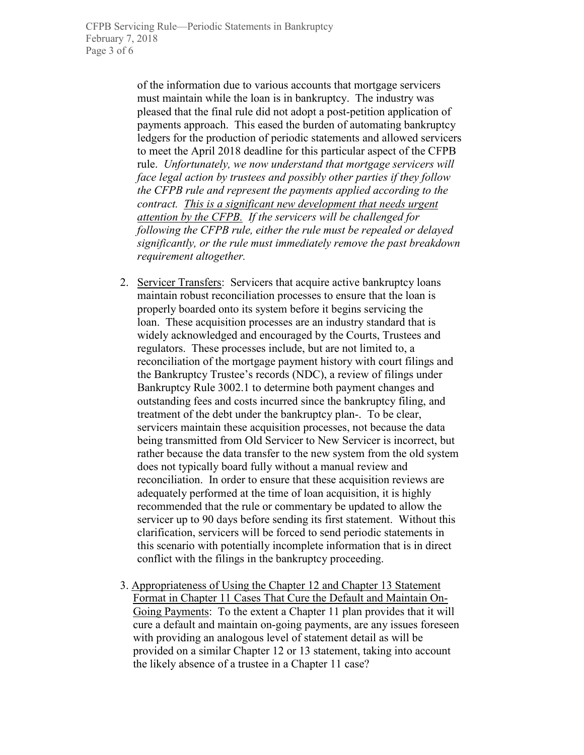of the information due to various accounts that mortgage servicers must maintain while the loan is in bankruptcy. The industry was pleased that the final rule did not adopt a post-petition application of payments approach. This eased the burden of automating bankruptcy ledgers for the production of periodic statements and allowed servicers to meet the April 2018 deadline for this particular aspect of the CFPB rule. *Unfortunately, we now understand that mortgage servicers will face legal action by trustees and possibly other parties if they follow the CFPB rule and represent the payments applied according to the contract. This is a significant new development that needs urgent attention by the CFPB. If the servicers will be challenged for following the CFPB rule, either the rule must be repealed or delayed significantly, or the rule must immediately remove the past breakdown requirement altogether.*

- 2. Servicer Transfers: Servicers that acquire active bankruptcy loans maintain robust reconciliation processes to ensure that the loan is properly boarded onto its system before it begins servicing the loan. These acquisition processes are an industry standard that is widely acknowledged and encouraged by the Courts, Trustees and regulators. These processes include, but are not limited to, a reconciliation of the mortgage payment history with court filings and the Bankruptcy Trustee's records (NDC), a review of filings under Bankruptcy Rule 3002.1 to determine both payment changes and outstanding fees and costs incurred since the bankruptcy filing, and treatment of the debt under the bankruptcy plan-. To be clear, servicers maintain these acquisition processes, not because the data being transmitted from Old Servicer to New Servicer is incorrect, but rather because the data transfer to the new system from the old system does not typically board fully without a manual review and reconciliation. In order to ensure that these acquisition reviews are adequately performed at the time of loan acquisition, it is highly recommended that the rule or commentary be updated to allow the servicer up to 90 days before sending its first statement. Without this clarification, servicers will be forced to send periodic statements in this scenario with potentially incomplete information that is in direct conflict with the filings in the bankruptcy proceeding.
- 3. Appropriateness of Using the Chapter 12 and Chapter 13 Statement Format in Chapter 11 Cases That Cure the Default and Maintain On-Going Payments: To the extent a Chapter 11 plan provides that it will cure a default and maintain on-going payments, are any issues foreseen with providing an analogous level of statement detail as will be provided on a similar Chapter 12 or 13 statement, taking into account the likely absence of a trustee in a Chapter 11 case?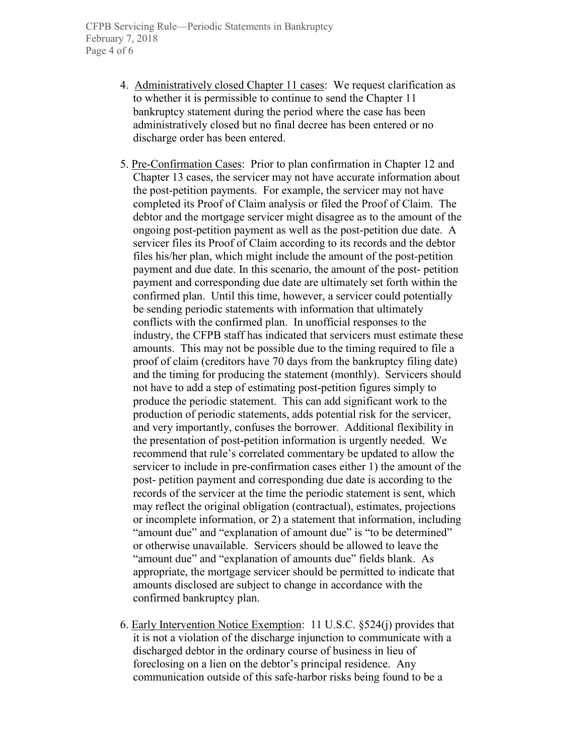- 4. Administratively closed Chapter 11 cases: We request clarification as to whether it is permissible to continue to send the Chapter 11 bankruptcy statement during the period where the case has been administratively closed but no final decree has been entered or no discharge order has been entered.
- 5. Pre-Confirmation Cases: Prior to plan confirmation in Chapter 12 and Chapter 13 cases, the servicer may not have accurate information about the post-petition payments. For example, the servicer may not have completed its Proof of Claim analysis or filed the Proof of Claim. The debtor and the mortgage servicer might disagree as to the amount of the ongoing post-petition payment as well as the post-petition due date. A servicer files its Proof of Claim according to its records and the debtor files his/her plan, which might include the amount of the post-petition payment and due date. In this scenario, the amount of the post- petition payment and corresponding due date are ultimately set forth within the confirmed plan. Until this time, however, a servicer could potentially be sending periodic statements with information that ultimately conflicts with the confirmed plan. In unofficial responses to the industry, the CFPB staff has indicated that servicers must estimate these amounts. This may not be possible due to the timing required to file a proof of claim (creditors have 70 days from the bankruptcy filing date) and the timing for producing the statement (monthly). Servicers should not have to add a step of estimating post-petition figures simply to produce the periodic statement. This can add significant work to the production of periodic statements, adds potential risk for the servicer, and very importantly, confuses the borrower. Additional flexibility in the presentation of post-petition information is urgently needed. We recommend that rule's correlated commentary be updated to allow the servicer to include in pre-confirmation cases either 1) the amount of the post- petition payment and corresponding due date is according to the records of the servicer at the time the periodic statement is sent, which may reflect the original obligation (contractual), estimates, projections or incomplete information, or 2) a statement that information, including "amount due" and "explanation of amount due" is "to be determined" or otherwise unavailable. Servicers should be allowed to leave the "amount due" and "explanation of amounts due" fields blank. As appropriate, the mortgage servicer should be permitted to indicate that amounts disclosed are subject to change in accordance with the confirmed bankruptcy plan.
- 6. Early Intervention Notice Exemption: 11 U.S.C. §524(j) provides that it is not a violation of the discharge injunction to communicate with a discharged debtor in the ordinary course of business in lieu of foreclosing on a lien on the debtor's principal residence. Any communication outside of this safe-harbor risks being found to be a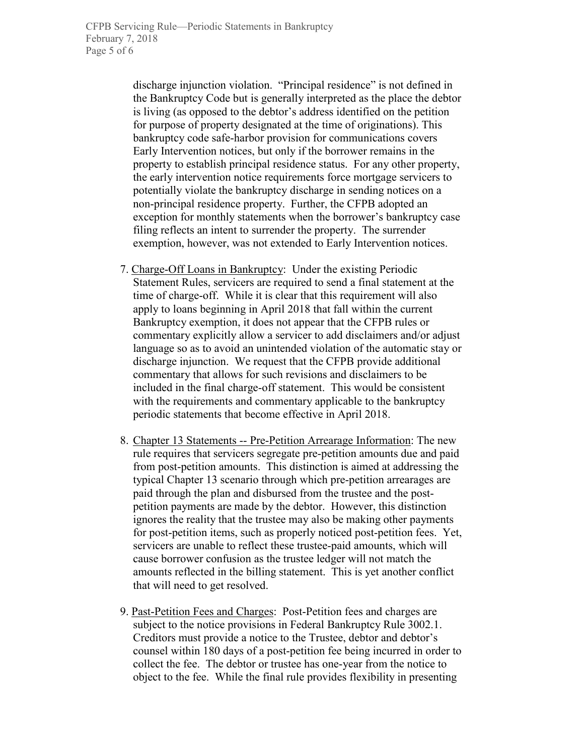discharge injunction violation. "Principal residence" is not defined in the Bankruptcy Code but is generally interpreted as the place the debtor is living (as opposed to the debtor's address identified on the petition for purpose of property designated at the time of originations). This bankruptcy code safe-harbor provision for communications covers Early Intervention notices, but only if the borrower remains in the property to establish principal residence status. For any other property, the early intervention notice requirements force mortgage servicers to potentially violate the bankruptcy discharge in sending notices on a non-principal residence property. Further, the CFPB adopted an exception for monthly statements when the borrower's bankruptcy case filing reflects an intent to surrender the property. The surrender exemption, however, was not extended to Early Intervention notices.

- 7. Charge-Off Loans in Bankruptcy: Under the existing Periodic Statement Rules, servicers are required to send a final statement at the time of charge-off. While it is clear that this requirement will also apply to loans beginning in April 2018 that fall within the current Bankruptcy exemption, it does not appear that the CFPB rules or commentary explicitly allow a servicer to add disclaimers and/or adjust language so as to avoid an unintended violation of the automatic stay or discharge injunction. We request that the CFPB provide additional commentary that allows for such revisions and disclaimers to be included in the final charge-off statement. This would be consistent with the requirements and commentary applicable to the bankruptcy periodic statements that become effective in April 2018.
- 8. Chapter 13 Statements -- Pre-Petition Arrearage Information: The new rule requires that servicers segregate pre-petition amounts due and paid from post-petition amounts. This distinction is aimed at addressing the typical Chapter 13 scenario through which pre-petition arrearages are paid through the plan and disbursed from the trustee and the postpetition payments are made by the debtor. However, this distinction ignores the reality that the trustee may also be making other payments for post-petition items, such as properly noticed post-petition fees. Yet, servicers are unable to reflect these trustee-paid amounts, which will cause borrower confusion as the trustee ledger will not match the amounts reflected in the billing statement. This is yet another conflict that will need to get resolved.
- 9. Past-Petition Fees and Charges: Post-Petition fees and charges are subject to the notice provisions in Federal Bankruptcy Rule 3002.1. Creditors must provide a notice to the Trustee, debtor and debtor's counsel within 180 days of a post-petition fee being incurred in order to collect the fee. The debtor or trustee has one-year from the notice to object to the fee. While the final rule provides flexibility in presenting